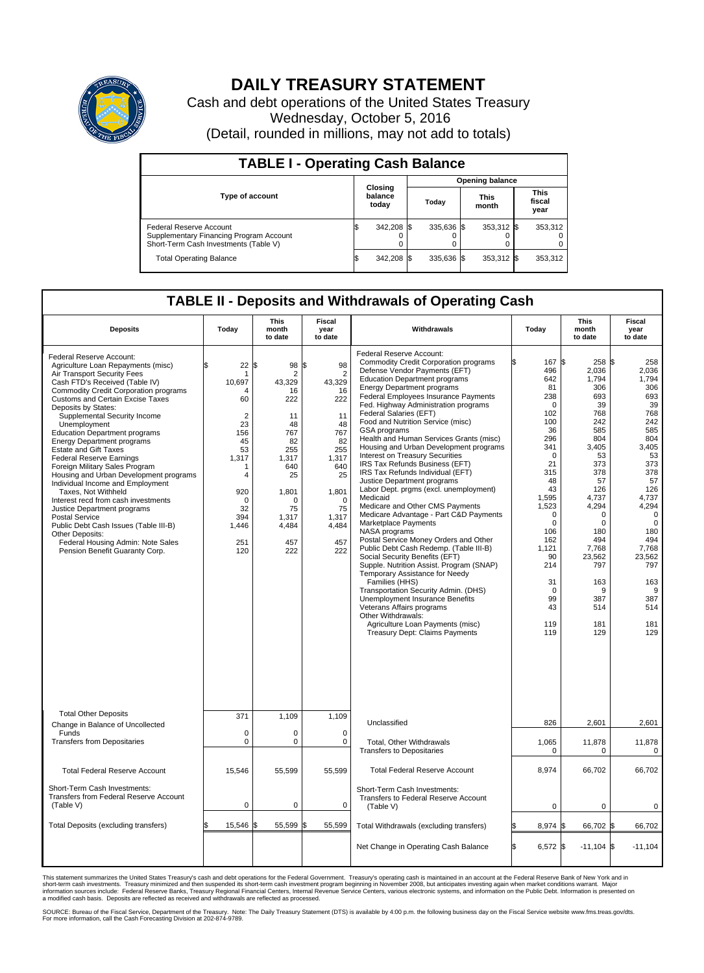

## **DAILY TREASURY STATEMENT**

Cash and debt operations of the United States Treasury Wednesday, October 5, 2016 (Detail, rounded in millions, may not add to totals)

| <b>TABLE I - Operating Cash Balance</b>                                                                     |    |                             |                        |            |  |                      |  |                               |  |  |  |
|-------------------------------------------------------------------------------------------------------------|----|-----------------------------|------------------------|------------|--|----------------------|--|-------------------------------|--|--|--|
|                                                                                                             |    |                             | <b>Opening balance</b> |            |  |                      |  |                               |  |  |  |
| <b>Type of account</b>                                                                                      |    | Closing<br>balance<br>today |                        | Today      |  | <b>This</b><br>month |  | <b>This</b><br>fiscal<br>year |  |  |  |
| Federal Reserve Account<br>Supplementary Financing Program Account<br>Short-Term Cash Investments (Table V) |    | 342,208 \$                  |                        | 335.636 \$ |  | 353,312 \$           |  | 353,312                       |  |  |  |
| <b>Total Operating Balance</b>                                                                              | ΙФ | 342,208 \$                  |                        | 335.636 \$ |  | 353,312 \$           |  | 353,312                       |  |  |  |

## **TABLE II - Deposits and Withdrawals of Operating Cash**

| <b>Deposits</b>                                                                                                                                                                                                                                                                                                                                                                                                                                                                                                                                                                                                                                                                                                                                                                                                            | Today                                                                                                                                            | <b>This</b><br>month<br>to date                                                                                                                        | Fiscal<br>year<br>to date                                                                                                                                          | Withdrawals                                                                                                                                                                                                                                                                                                                                                                                                                                                                                                                                                                                                                                                                                                                                                                                                                                                                                                                                                                                                                                                                                                                                                                                                  | Today                                                                                                                                                                                                                                                         | <b>This</b><br>month<br>to date                                                                                                                                                                                                  | Fiscal<br>year<br>to date                                                                                                                                                                                                                       |
|----------------------------------------------------------------------------------------------------------------------------------------------------------------------------------------------------------------------------------------------------------------------------------------------------------------------------------------------------------------------------------------------------------------------------------------------------------------------------------------------------------------------------------------------------------------------------------------------------------------------------------------------------------------------------------------------------------------------------------------------------------------------------------------------------------------------------|--------------------------------------------------------------------------------------------------------------------------------------------------|--------------------------------------------------------------------------------------------------------------------------------------------------------|--------------------------------------------------------------------------------------------------------------------------------------------------------------------|--------------------------------------------------------------------------------------------------------------------------------------------------------------------------------------------------------------------------------------------------------------------------------------------------------------------------------------------------------------------------------------------------------------------------------------------------------------------------------------------------------------------------------------------------------------------------------------------------------------------------------------------------------------------------------------------------------------------------------------------------------------------------------------------------------------------------------------------------------------------------------------------------------------------------------------------------------------------------------------------------------------------------------------------------------------------------------------------------------------------------------------------------------------------------------------------------------------|---------------------------------------------------------------------------------------------------------------------------------------------------------------------------------------------------------------------------------------------------------------|----------------------------------------------------------------------------------------------------------------------------------------------------------------------------------------------------------------------------------|-------------------------------------------------------------------------------------------------------------------------------------------------------------------------------------------------------------------------------------------------|
| Federal Reserve Account:<br>Agriculture Loan Repayments (misc)<br>Air Transport Security Fees<br>Cash FTD's Received (Table IV)<br><b>Commodity Credit Corporation programs</b><br><b>Customs and Certain Excise Taxes</b><br>Deposits by States:<br>Supplemental Security Income<br>Unemployment<br><b>Education Department programs</b><br><b>Energy Department programs</b><br><b>Estate and Gift Taxes</b><br><b>Federal Reserve Earnings</b><br>Foreign Military Sales Program<br>Housing and Urban Development programs<br>Individual Income and Employment<br>Taxes. Not Withheld<br>Interest recd from cash investments<br>Justice Department programs<br><b>Postal Service</b><br>Public Debt Cash Issues (Table III-B)<br>Other Deposits:<br>Federal Housing Admin: Note Sales<br>Pension Benefit Guaranty Corp. | 22<br>\$<br>1<br>10.697<br>Δ<br>60<br>$\overline{2}$<br>23<br>156<br>45<br>53<br>1,317<br>1<br>4<br>920<br>0<br>32<br>394<br>1,446<br>251<br>120 | l\$<br>98<br>2<br>43.329<br>16<br>222<br>11<br>48<br>767<br>82<br>255<br>1.317<br>640<br>25<br>1,801<br>$\Omega$<br>75<br>1,317<br>4,484<br>457<br>222 | S.<br>98<br>$\overline{2}$<br>43.329<br>16<br>222<br>11<br>48<br>767<br>82<br>255<br>1.317<br>640<br>25<br>1,801<br>$\Omega$<br>75<br>1,317<br>4,484<br>457<br>222 | Federal Reserve Account:<br><b>Commodity Credit Corporation programs</b><br>Defense Vendor Payments (EFT)<br><b>Education Department programs</b><br><b>Energy Department programs</b><br><b>Federal Employees Insurance Payments</b><br>Fed. Highway Administration programs<br>Federal Salaries (EFT)<br>Food and Nutrition Service (misc)<br><b>GSA</b> programs<br>Health and Human Services Grants (misc)<br>Housing and Urban Development programs<br>Interest on Treasury Securities<br>IRS Tax Refunds Business (EFT)<br>IRS Tax Refunds Individual (EFT)<br>Justice Department programs<br>Labor Dept. prgms (excl. unemployment)<br>Medicaid<br>Medicare and Other CMS Payments<br>Medicare Advantage - Part C&D Payments<br>Marketplace Payments<br>NASA programs<br>Postal Service Money Orders and Other<br>Public Debt Cash Redemp. (Table III-B)<br>Social Security Benefits (EFT)<br>Supple. Nutrition Assist. Program (SNAP)<br>Temporary Assistance for Needy<br>Families (HHS)<br>Transportation Security Admin. (DHS)<br>Unemployment Insurance Benefits<br>Veterans Affairs programs<br>Other Withdrawals:<br>Agriculture Loan Payments (misc)<br><b>Treasury Dept: Claims Payments</b> | 167 \$<br>496<br>642<br>81<br>238<br>$\mathbf 0$<br>102<br>100<br>36<br>296<br>341<br>$\mathbf 0$<br>21<br>315<br>48<br>43<br>1,595<br>1,523<br>$\mathbf 0$<br>$\mathbf 0$<br>106<br>162<br>1.121<br>90<br>214<br>31<br>$\mathbf 0$<br>99<br>43<br>119<br>119 | $258$ \$<br>2,036<br>1,794<br>306<br>693<br>39<br>768<br>242<br>585<br>804<br>3,405<br>53<br>373<br>378<br>57<br>126<br>4,737<br>4,294<br>0<br>0<br>180<br>494<br>7.768<br>23,562<br>797<br>163<br>9<br>387<br>514<br>181<br>129 | 258<br>2,036<br>1,794<br>306<br>693<br>39<br>768<br>242<br>585<br>804<br>3,405<br>53<br>373<br>378<br>57<br>126<br>4,737<br>4,294<br>$\mathbf 0$<br>$\mathbf 0$<br>180<br>494<br>7.768<br>23,562<br>797<br>163<br>9<br>387<br>514<br>181<br>129 |
| <b>Total Other Deposits</b><br>Change in Balance of Uncollected                                                                                                                                                                                                                                                                                                                                                                                                                                                                                                                                                                                                                                                                                                                                                            | 371                                                                                                                                              | 1,109                                                                                                                                                  | 1,109                                                                                                                                                              | Unclassified                                                                                                                                                                                                                                                                                                                                                                                                                                                                                                                                                                                                                                                                                                                                                                                                                                                                                                                                                                                                                                                                                                                                                                                                 | 826                                                                                                                                                                                                                                                           | 2.601                                                                                                                                                                                                                            | 2.601                                                                                                                                                                                                                                           |
| Funds<br><b>Transfers from Depositaries</b>                                                                                                                                                                                                                                                                                                                                                                                                                                                                                                                                                                                                                                                                                                                                                                                | $\mathbf 0$<br>$\mathbf 0$                                                                                                                       | 0<br>0                                                                                                                                                 | $\mathbf 0$<br>$\mathbf 0$                                                                                                                                         | Total, Other Withdrawals<br><b>Transfers to Depositaries</b>                                                                                                                                                                                                                                                                                                                                                                                                                                                                                                                                                                                                                                                                                                                                                                                                                                                                                                                                                                                                                                                                                                                                                 | 1,065<br>$\Omega$                                                                                                                                                                                                                                             | 11,878<br>$\Omega$                                                                                                                                                                                                               | 11,878<br>0                                                                                                                                                                                                                                     |
| <b>Total Federal Reserve Account</b>                                                                                                                                                                                                                                                                                                                                                                                                                                                                                                                                                                                                                                                                                                                                                                                       | 15,546                                                                                                                                           | 55.599                                                                                                                                                 | 55.599                                                                                                                                                             | <b>Total Federal Reserve Account</b>                                                                                                                                                                                                                                                                                                                                                                                                                                                                                                                                                                                                                                                                                                                                                                                                                                                                                                                                                                                                                                                                                                                                                                         | 8.974                                                                                                                                                                                                                                                         | 66,702                                                                                                                                                                                                                           | 66.702                                                                                                                                                                                                                                          |
| Short-Term Cash Investments:<br>Transfers from Federal Reserve Account<br>(Table V)                                                                                                                                                                                                                                                                                                                                                                                                                                                                                                                                                                                                                                                                                                                                        | $\mathbf 0$                                                                                                                                      | $\mathbf 0$                                                                                                                                            | 0                                                                                                                                                                  | Short-Term Cash Investments:<br>Transfers to Federal Reserve Account<br>(Table V)                                                                                                                                                                                                                                                                                                                                                                                                                                                                                                                                                                                                                                                                                                                                                                                                                                                                                                                                                                                                                                                                                                                            | 0                                                                                                                                                                                                                                                             | 0                                                                                                                                                                                                                                | 0                                                                                                                                                                                                                                               |
| Total Deposits (excluding transfers)                                                                                                                                                                                                                                                                                                                                                                                                                                                                                                                                                                                                                                                                                                                                                                                       | 15,546<br>\$                                                                                                                                     | 55,599<br>ß.                                                                                                                                           | \$<br>55,599                                                                                                                                                       | Total Withdrawals (excluding transfers)                                                                                                                                                                                                                                                                                                                                                                                                                                                                                                                                                                                                                                                                                                                                                                                                                                                                                                                                                                                                                                                                                                                                                                      | 8,974 \$                                                                                                                                                                                                                                                      | 66,702 \$                                                                                                                                                                                                                        | 66,702                                                                                                                                                                                                                                          |
|                                                                                                                                                                                                                                                                                                                                                                                                                                                                                                                                                                                                                                                                                                                                                                                                                            |                                                                                                                                                  |                                                                                                                                                        |                                                                                                                                                                    | Net Change in Operating Cash Balance                                                                                                                                                                                                                                                                                                                                                                                                                                                                                                                                                                                                                                                                                                                                                                                                                                                                                                                                                                                                                                                                                                                                                                         | ß.<br>$6,572$ \$                                                                                                                                                                                                                                              | $-11,104$ \\$                                                                                                                                                                                                                    | $-11,104$                                                                                                                                                                                                                                       |

This statement summarizes the United States Treasury's cash and debt operations for the Federal Government. Treasury's operating cash is maintained in an account at the Federal Reserve Bank of New York and in<br>short-term ca

SOURCE: Bureau of the Fiscal Service, Department of the Treasury. Note: The Daily Treasury Statement (DTS) is available by 4:00 p.m. the following business day on the Fiscal Service website www.fms.treas.gov/dts.<br>For more